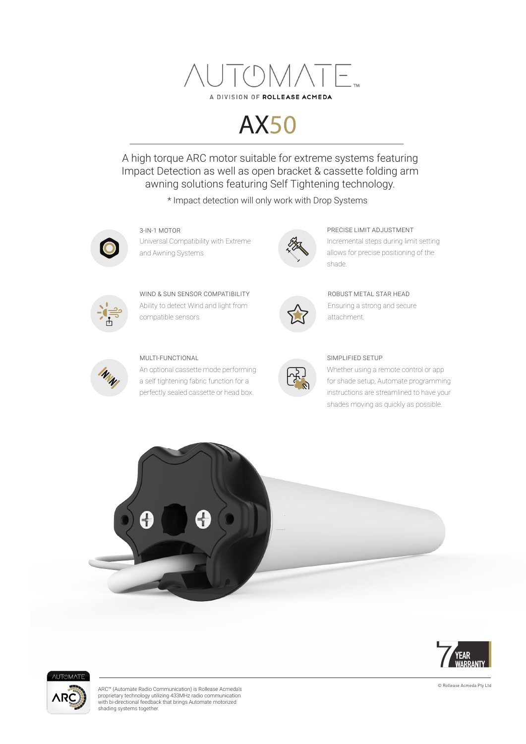

# AX50

A high torque ARC motor suitable for extreme systems featuring Impact Detection as well as open bracket & cassette folding arm awning solutions featuring Self Tightening technology.

\* Impact detection will only work with Drop Systems



Universal Compatibility with Extreme and Awning Systems



3-IN-1 MOTOR PRECISE LIMIT ADJUSTMENT Incremental steps during limit setting allows for precise positioning of the shade.



Ability to detect Wind and light from compatible sensors WIND & SUN SENSOR COMPATIBILITY



#### MULTI-FUNCTIONAL

An optional cassette mode performing a self tightening fabric function for a perfectly sealed cassette or head box.



Ensuring a strong and secure attachment. ROBUST METAL STAR HEAD



#### SIMPLIFIED SETUP

Whether using a remote control or app for shade setup, Automate programming instructions are streamlined to have your shades moving as quickly as possible.







ARC™ (Automate Radio Communication) is Rollease Acmeda's proprietary technology utilizing 433MHz radio communication with bi-directional feedback that brings Automate motorized shading systems together.

© Rollease Acmeda Pty Ltd